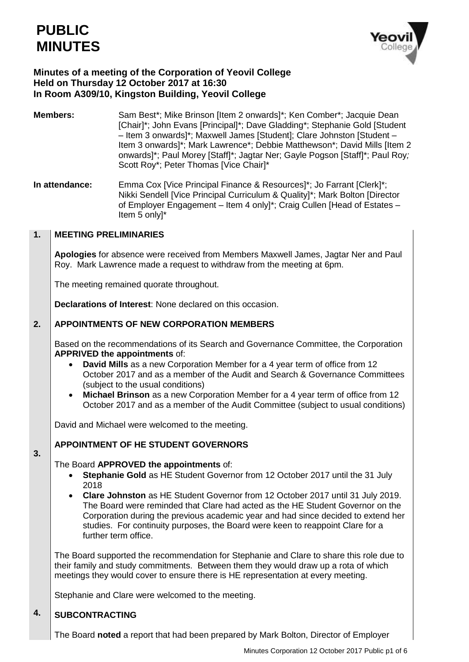

# **Minutes of a meeting of the Corporation of Yeovil College Held on Thursday 12 October 2017 at 16:30 In Room A309/10, Kingston Building, Yeovil College**

- **Members:** Sam Best<sup>\*</sup>; Mike Brinson [Item 2 onwards]<sup>\*</sup>; Ken Comber<sup>\*</sup>; Jacquie Dean [Chair]\*; John Evans [Principal]\*; Dave Gladding\*; Stephanie Gold [Student – Item 3 onwards]\*; Maxwell James [Student]; Clare Johnston [Student – Item 3 onwards]\*; Mark Lawrence\*; Debbie Matthewson\*; David Mills [Item 2 onwards]\*; Paul Morey [Staff]\*; Jagtar Ner; Gayle Pogson [Staff]\*; Paul Roy*;* Scott Roy\*; Peter Thomas [Vice Chair]\*
- **In attendance:** Emma Cox [Vice Principal Finance & Resources]\*; Jo Farrant [Clerk]\*; Nikki Sendell [Vice Principal Curriculum & Quality]\*; Mark Bolton [Director of Employer Engagement – Item 4 only]\*; Craig Cullen [Head of Estates – Item 5 only]\*

#### **1. MEETING PRELIMINARIES**

**Apologies** for absence were received from Members Maxwell James, Jagtar Ner and Paul Roy. Mark Lawrence made a request to withdraw from the meeting at 6pm.

The meeting remained quorate throughout.

**Declarations of Interest**: None declared on this occasion.

#### **2. APPOINTMENTS OF NEW CORPORATION MEMBERS**

Based on the recommendations of its Search and Governance Committee, the Corporation **APPRIVED the appointments** of:

- **David Mills** as a new Corporation Member for a 4 year term of office from 12 October 2017 and as a member of the Audit and Search & Governance Committees (subject to the usual conditions)
- **Michael Brinson** as a new Corporation Member for a 4 year term of office from 12 October 2017 and as a member of the Audit Committee (subject to usual conditions)

David and Michael were welcomed to the meeting.

# **APPOINTMENT OF HE STUDENT GOVERNORS**

# The Board **APPROVED the appointments** of:

- **Stephanie Gold** as HE Student Governor from 12 October 2017 until the 31 July 2018
- **Clare Johnston** as HE Student Governor from 12 October 2017 until 31 July 2019. The Board were reminded that Clare had acted as the HE Student Governor on the Corporation during the previous academic year and had since decided to extend her studies. For continuity purposes, the Board were keen to reappoint Clare for a further term office.

The Board supported the recommendation for Stephanie and Clare to share this role due to their family and study commitments. Between them they would draw up a rota of which meetings they would cover to ensure there is HE representation at every meeting.

Stephanie and Clare were welcomed to the meeting.

#### **4. SUBCONTRACTING**

**3.**

The Board **noted** a report that had been prepared by Mark Bolton, Director of Employer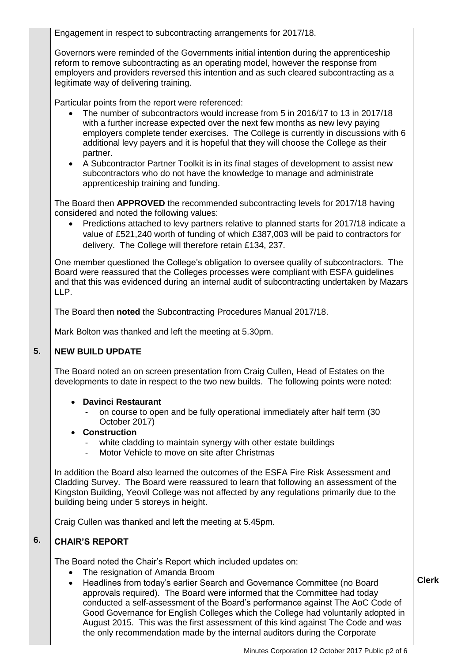Engagement in respect to subcontracting arrangements for 2017/18.

Governors were reminded of the Governments initial intention during the apprenticeship reform to remove subcontracting as an operating model, however the response from employers and providers reversed this intention and as such cleared subcontracting as a legitimate way of delivering training.

Particular points from the report were referenced:

- The number of subcontractors would increase from 5 in 2016/17 to 13 in 2017/18 with a further increase expected over the next few months as new levy paying employers complete tender exercises. The College is currently in discussions with 6 additional levy payers and it is hopeful that they will choose the College as their partner.
- A Subcontractor Partner Toolkit is in its final stages of development to assist new subcontractors who do not have the knowledge to manage and administrate apprenticeship training and funding.

The Board then **APPROVED** the recommended subcontracting levels for 2017/18 having considered and noted the following values:

 Predictions attached to levy partners relative to planned starts for 2017/18 indicate a value of £521,240 worth of funding of which £387,003 will be paid to contractors for delivery. The College will therefore retain £134, 237.

One member questioned the College's obligation to oversee quality of subcontractors. The Board were reassured that the Colleges processes were compliant with ESFA guidelines and that this was evidenced during an internal audit of subcontracting undertaken by Mazars LLP.

The Board then **noted** the Subcontracting Procedures Manual 2017/18.

Mark Bolton was thanked and left the meeting at 5.30pm.

#### **5. NEW BUILD UPDATE**

The Board noted an on screen presentation from Craig Cullen, Head of Estates on the developments to date in respect to the two new builds. The following points were noted:

# **Davinci Restaurant**

- on course to open and be fully operational immediately after half term (30 October 2017)

# **Construction**

- white cladding to maintain synergy with other estate buildings
- Motor Vehicle to move on site after Christmas

In addition the Board also learned the outcomes of the ESFA Fire Risk Assessment and Cladding Survey. The Board were reassured to learn that following an assessment of the Kingston Building, Yeovil College was not affected by any regulations primarily due to the building being under 5 storeys in height.

Craig Cullen was thanked and left the meeting at 5.45pm.

#### **6. CHAIR'S REPORT**

The Board noted the Chair's Report which included updates on:

- The resignation of Amanda Broom
- Headlines from today's earlier Search and Governance Committee (no Board approvals required). The Board were informed that the Committee had today conducted a self-assessment of the Board's performance against The AoC Code of Good Governance for English Colleges which the College had voluntarily adopted in August 2015. This was the first assessment of this kind against The Code and was the only recommendation made by the internal auditors during the Corporate

**Clerk**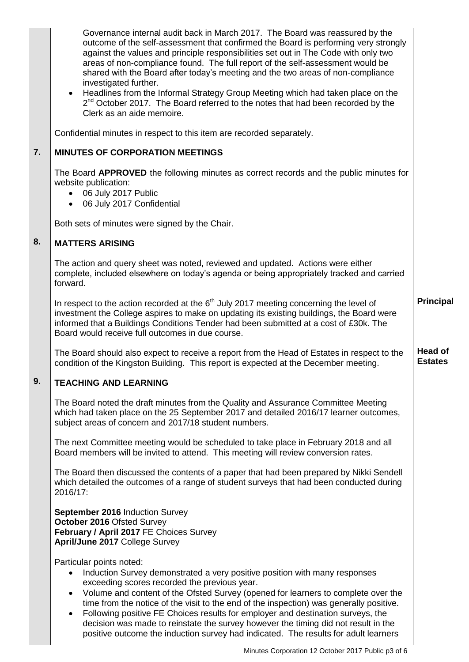|                  | Governance internal audit back in March 2017. The Board was reassured by the<br>outcome of the self-assessment that confirmed the Board is performing very strongly<br>against the values and principle responsibilities set out in The Code with only two<br>areas of non-compliance found. The full report of the self-assessment would be<br>shared with the Board after today's meeting and the two areas of non-compliance<br>investigated further.<br>Headlines from the Informal Strategy Group Meeting which had taken place on the<br>2 <sup>nd</sup> October 2017. The Board referred to the notes that had been recorded by the<br>Clerk as an aide memoire. |                           |
|------------------|-------------------------------------------------------------------------------------------------------------------------------------------------------------------------------------------------------------------------------------------------------------------------------------------------------------------------------------------------------------------------------------------------------------------------------------------------------------------------------------------------------------------------------------------------------------------------------------------------------------------------------------------------------------------------|---------------------------|
|                  | Confidential minutes in respect to this item are recorded separately.                                                                                                                                                                                                                                                                                                                                                                                                                                                                                                                                                                                                   |                           |
| $\overline{7}$ . | <b>MINUTES OF CORPORATION MEETINGS</b>                                                                                                                                                                                                                                                                                                                                                                                                                                                                                                                                                                                                                                  |                           |
|                  | The Board APPROVED the following minutes as correct records and the public minutes for<br>website publication:<br>06 July 2017 Public<br>06 July 2017 Confidential                                                                                                                                                                                                                                                                                                                                                                                                                                                                                                      |                           |
|                  | Both sets of minutes were signed by the Chair.                                                                                                                                                                                                                                                                                                                                                                                                                                                                                                                                                                                                                          |                           |
| 8.               | <b>MATTERS ARISING</b>                                                                                                                                                                                                                                                                                                                                                                                                                                                                                                                                                                                                                                                  |                           |
|                  | The action and query sheet was noted, reviewed and updated. Actions were either<br>complete, included elsewhere on today's agenda or being appropriately tracked and carried<br>forward.                                                                                                                                                                                                                                                                                                                                                                                                                                                                                |                           |
|                  | In respect to the action recorded at the $6th$ July 2017 meeting concerning the level of<br>investment the College aspires to make on updating its existing buildings, the Board were<br>informed that a Buildings Conditions Tender had been submitted at a cost of £30k. The<br>Board would receive full outcomes in due course.                                                                                                                                                                                                                                                                                                                                      | <b>Principal</b>          |
|                  | The Board should also expect to receive a report from the Head of Estates in respect to the<br>condition of the Kingston Building. This report is expected at the December meeting.                                                                                                                                                                                                                                                                                                                                                                                                                                                                                     | Head of<br><b>Estates</b> |
| 9.               | <b>TEACHING AND LEARNING</b>                                                                                                                                                                                                                                                                                                                                                                                                                                                                                                                                                                                                                                            |                           |
|                  | The Board noted the draft minutes from the Quality and Assurance Committee Meeting<br>which had taken place on the 25 September 2017 and detailed 2016/17 learner outcomes,<br>subject areas of concern and 2017/18 student numbers.                                                                                                                                                                                                                                                                                                                                                                                                                                    |                           |
|                  | The next Committee meeting would be scheduled to take place in February 2018 and all<br>Board members will be invited to attend. This meeting will review conversion rates.                                                                                                                                                                                                                                                                                                                                                                                                                                                                                             |                           |
|                  | The Board then discussed the contents of a paper that had been prepared by Nikki Sendell<br>which detailed the outcomes of a range of student surveys that had been conducted during<br>2016/17:                                                                                                                                                                                                                                                                                                                                                                                                                                                                        |                           |
|                  | September 2016 Induction Survey<br>October 2016 Ofsted Survey<br>February / April 2017 FE Choices Survey<br>April/June 2017 College Survey                                                                                                                                                                                                                                                                                                                                                                                                                                                                                                                              |                           |
|                  | Particular points noted:<br>Induction Survey demonstrated a very positive position with many responses<br>$\bullet$<br>exceeding scores recorded the previous year.<br>Volume and content of the Ofsted Survey (opened for learners to complete over the<br>$\bullet$<br>time from the notice of the visit to the end of the inspection) was generally positive.<br>Following positive FE Choices results for employer and destination surveys, the<br>$\bullet$<br>decision was made to reinstate the survey however the timing did not result in the<br>positive outcome the induction survey had indicated. The results for adult learners                           |                           |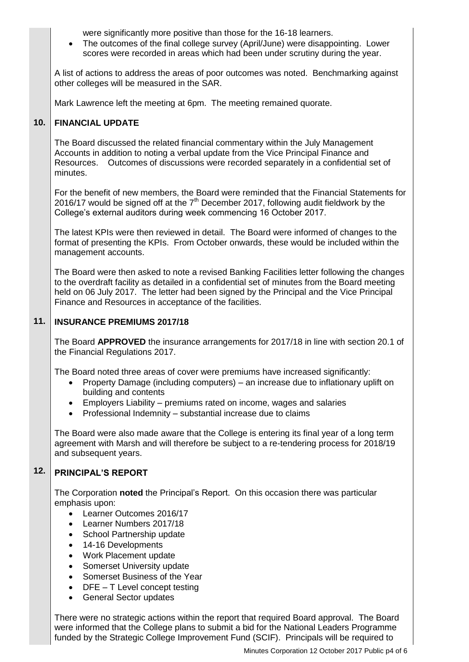were significantly more positive than those for the 16-18 learners.

 The outcomes of the final college survey (April/June) were disappointing. Lower scores were recorded in areas which had been under scrutiny during the year.

A list of actions to address the areas of poor outcomes was noted. Benchmarking against other colleges will be measured in the SAR.

Mark Lawrence left the meeting at 6pm. The meeting remained quorate.

#### **10. FINANCIAL UPDATE**

The Board discussed the related financial commentary within the July Management Accounts in addition to noting a verbal update from the Vice Principal Finance and Resources. Outcomes of discussions were recorded separately in a confidential set of minutes.

For the benefit of new members, the Board were reminded that the Financial Statements for 2016/17 would be signed off at the  $7<sup>th</sup>$  December 2017, following audit fieldwork by the College's external auditors during week commencing 16 October 2017.

The latest KPIs were then reviewed in detail. The Board were informed of changes to the format of presenting the KPIs. From October onwards, these would be included within the management accounts.

The Board were then asked to note a revised Banking Facilities letter following the changes to the overdraft facility as detailed in a confidential set of minutes from the Board meeting held on 06 July 2017. The letter had been signed by the Principal and the Vice Principal Finance and Resources in acceptance of the facilities.

#### **11. INSURANCE PREMIUMS 2017/18**

The Board **APPROVED** the insurance arrangements for 2017/18 in line with section 20.1 of the Financial Regulations 2017.

The Board noted three areas of cover were premiums have increased significantly:

- Property Damage (including computers) an increase due to inflationary uplift on building and contents
- Employers Liability premiums rated on income, wages and salaries
- Professional Indemnity substantial increase due to claims

The Board were also made aware that the College is entering its final year of a long term agreement with Marsh and will therefore be subject to a re-tendering process for 2018/19 and subsequent years.

#### **12. PRINCIPAL'S REPORT**

The Corporation **noted** the Principal's Report. On this occasion there was particular emphasis upon:

- Learner Outcomes 2016/17
- Learner Numbers 2017/18
- School Partnership update
- 14-16 Developments
- Work Placement update
- Somerset University update
- Somerset Business of the Year
- $\bullet$  DFE T Level concept testing
- General Sector updates

There were no strategic actions within the report that required Board approval. The Board were informed that the College plans to submit a bid for the National Leaders Programme funded by the Strategic College Improvement Fund (SCIF). Principals will be required to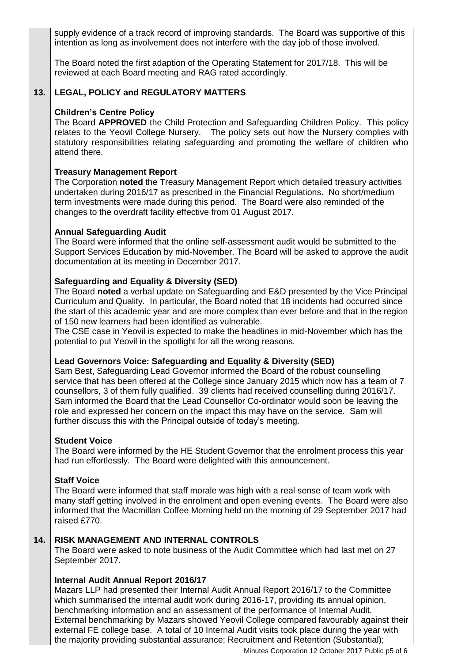supply evidence of a track record of improving standards. The Board was supportive of this intention as long as involvement does not interfere with the day job of those involved.

The Board noted the first adaption of the Operating Statement for 2017/18. This will be reviewed at each Board meeting and RAG rated accordingly.

#### **13. LEGAL, POLICY and REGULATORY MATTERS**

# **Children's Centre Policy**

The Board **APPROVED** the Child Protection and Safeguarding Children Policy. This policy relates to the Yeovil College Nursery. The policy sets out how the Nursery complies with statutory responsibilities relating safeguarding and promoting the welfare of children who attend there.

# **Treasury Management Report**

The Corporation **noted** the Treasury Management Report which detailed treasury activities undertaken during 2016/17 as prescribed in the Financial Regulations. No short/medium term investments were made during this period. The Board were also reminded of the changes to the overdraft facility effective from 01 August 2017.

### **Annual Safeguarding Audit**

The Board were informed that the online self-assessment audit would be submitted to the Support Services Education by mid-November. The Board will be asked to approve the audit documentation at its meeting in December 2017.

# **Safeguarding and Equality & Diversity (SED)**

The Board **noted** a verbal update on Safeguarding and E&D presented by the Vice Principal Curriculum and Quality. In particular, the Board noted that 18 incidents had occurred since the start of this academic year and are more complex than ever before and that in the region of 150 new learners had been identified as vulnerable.

The CSE case in Yeovil is expected to make the headlines in mid-November which has the potential to put Yeovil in the spotlight for all the wrong reasons.

# **Lead Governors Voice: Safeguarding and Equality & Diversity (SED)**

Sam Best, Safeguarding Lead Governor informed the Board of the robust counselling service that has been offered at the College since January 2015 which now has a team of 7 counsellors, 3 of them fully qualified. 39 clients had received counselling during 2016/17. Sam informed the Board that the Lead Counsellor Co-ordinator would soon be leaving the role and expressed her concern on the impact this may have on the service. Sam will further discuss this with the Principal outside of today's meeting.

### **Student Voice**

The Board were informed by the HE Student Governor that the enrolment process this year had run effortlessly. The Board were delighted with this announcement.

### **Staff Voice**

The Board were informed that staff morale was high with a real sense of team work with many staff getting involved in the enrolment and open evening events. The Board were also informed that the Macmillan Coffee Morning held on the morning of 29 September 2017 had raised £770.

#### **14. RISK MANAGEMENT AND INTERNAL CONTROLS**

The Board were asked to note business of the Audit Committee which had last met on 27 September 2017.

# **Internal Audit Annual Report 2016/17**

Mazars LLP had presented their Internal Audit Annual Report 2016/17 to the Committee which summarised the internal audit work during 2016-17, providing its annual opinion, benchmarking information and an assessment of the performance of Internal Audit. External benchmarking by Mazars showed Yeovil College compared favourably against their external FE college base. A total of 10 Internal Audit visits took place during the year with the majority providing substantial assurance; Recruitment and Retention (Substantial);

Minutes Corporation 12 October 2017 Public p5 of 6